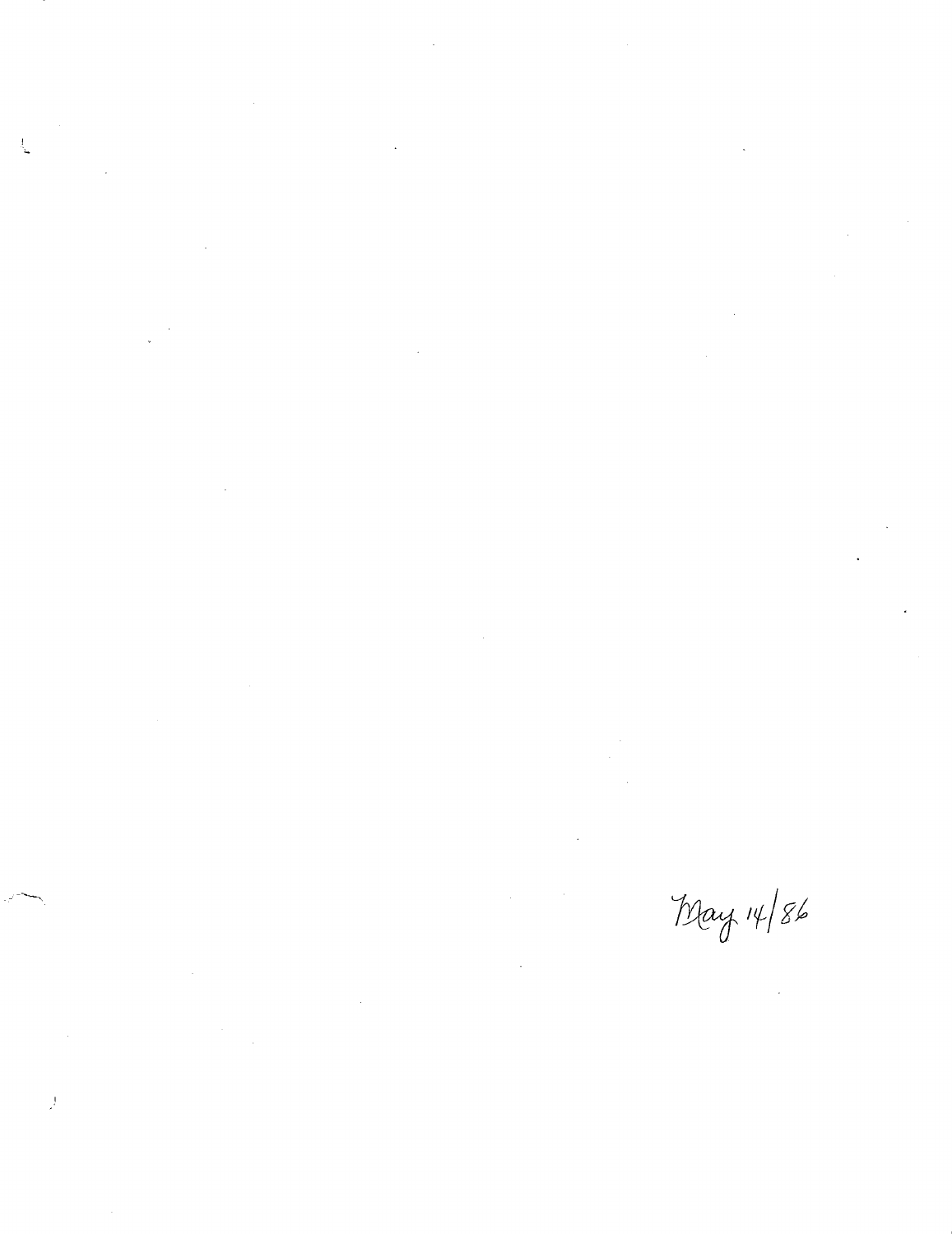$\mathcal{L}(\mathcal{L}(\mathcal{L}))$  and  $\mathcal{L}(\mathcal{L}(\mathcal{L}))$  and  $\mathcal{L}(\mathcal{L}(\mathcal{L}))$  and  $\mathcal{L}(\mathcal{L}(\mathcal{L}))$  and  $\mathcal{L}^{\text{max}}_{\text{max}}$  and  $\mathcal{L}^{\text{max}}_{\text{max}}$ 

 $\frac{1}{2}$ 

 $\bar{\bar{J}}$ 

 $\mathcal{L}^{\text{max}}_{\text{max}}$  ,  $\mathcal{L}^{\text{max}}_{\text{max}}$ 

 $\label{eq:2} \frac{1}{\sqrt{2\pi}}\frac{1}{\sqrt{2\pi}}\frac{1}{\sqrt{2\pi}}\frac{1}{\sqrt{2\pi}}\frac{1}{\sqrt{2\pi}}\frac{1}{\sqrt{2\pi}}\frac{1}{\sqrt{2\pi}}\frac{1}{\sqrt{2\pi}}\frac{1}{\sqrt{2\pi}}\frac{1}{\sqrt{2\pi}}\frac{1}{\sqrt{2\pi}}\frac{1}{\sqrt{2\pi}}\frac{1}{\sqrt{2\pi}}\frac{1}{\sqrt{2\pi}}\frac{1}{\sqrt{2\pi}}\frac{1}{\sqrt{2\pi}}\frac{1}{\sqrt{2\pi}}\frac{1}{\sqrt{2$  $\label{eq:2.1} \frac{1}{\sqrt{2}}\int_{\mathbb{R}^3}\frac{1}{\sqrt{2}}\left(\frac{1}{\sqrt{2}}\right)^2\frac{1}{\sqrt{2}}\left(\frac{1}{\sqrt{2}}\right)^2\frac{1}{\sqrt{2}}\left(\frac{1}{\sqrt{2}}\right)^2.$  $\frac{1}{2}$ 

 $\label{eq:2.1} \frac{1}{\sqrt{2\pi}}\int_{0}^{\pi} \frac{1}{\sqrt{2\pi}}\left(\frac{1}{\sqrt{2\pi}}\right)^{2} \frac{1}{\sqrt{2\pi}}\int_{0}^{\pi}\frac{1}{\sqrt{2\pi}}\left(\frac{1}{\sqrt{2\pi}}\right)^{2} \frac{1}{\sqrt{2\pi}}\int_{0}^{\pi}\frac{1}{\sqrt{2\pi}}\frac{1}{\sqrt{2\pi}}\frac{1}{\sqrt{2\pi}}\frac{1}{\sqrt{2\pi}}\frac{1}{\sqrt{2\pi}}\frac{1}{\sqrt{2\pi}}\frac{1}{\sqrt{2\pi}}\frac$ 

 $May 14/86$ 

 $\mathcal{L}^{\text{max}}_{\text{max}}$  , where  $\mathcal{L}^{\text{max}}_{\text{max}}$  $\label{eq:2.1} \frac{1}{\sqrt{2}}\int_{\mathbb{R}^3}\frac{1}{\sqrt{2}}\left(\frac{1}{\sqrt{2}}\right)^2\frac{1}{\sqrt{2}}\left(\frac{1}{\sqrt{2}}\right)^2\frac{1}{\sqrt{2}}\left(\frac{1}{\sqrt{2}}\right)^2.$  $\mathcal{L}^{\text{max}}_{\text{max}}$  and  $\mathcal{L}^{\text{max}}_{\text{max}}$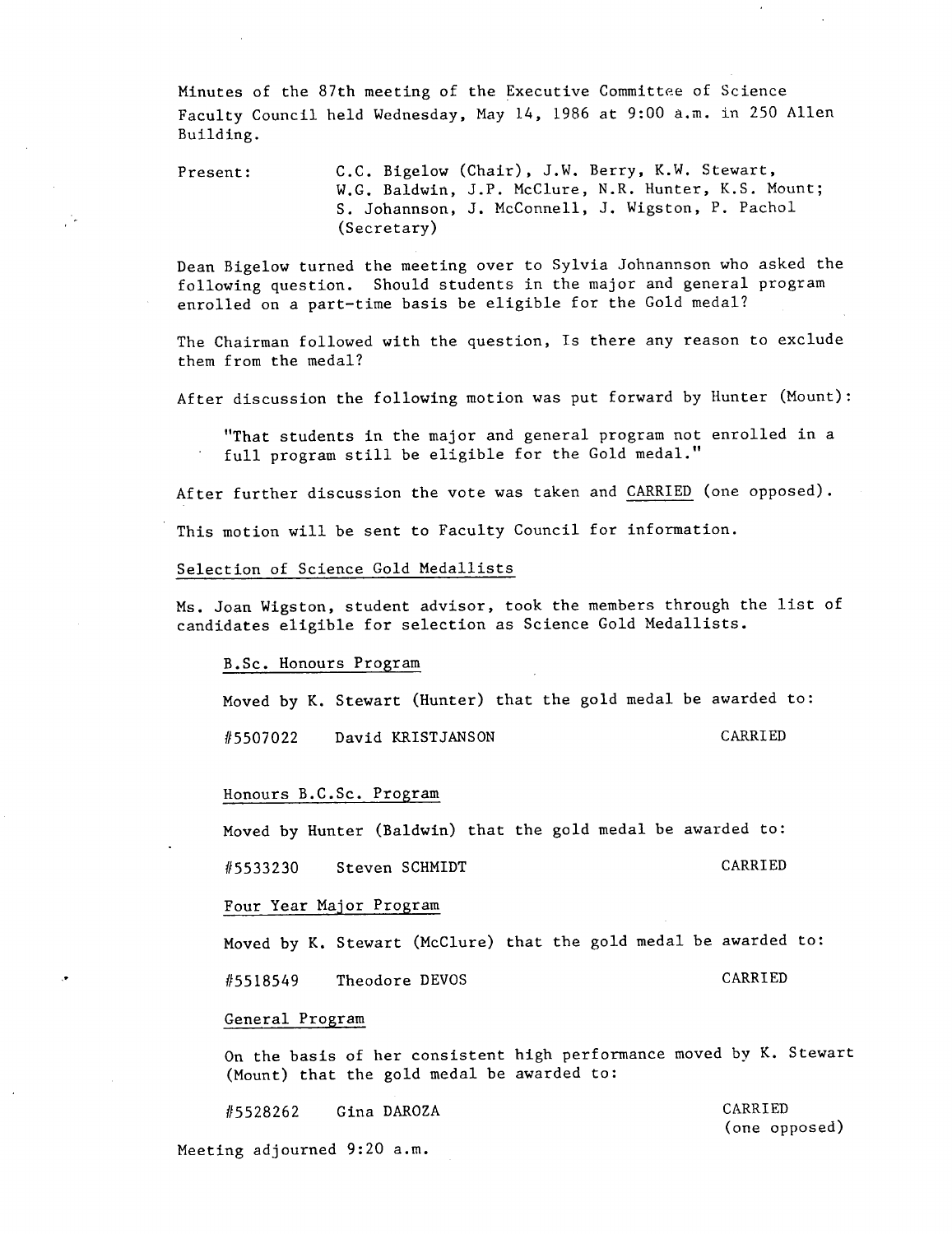Minutes of the 87th meeting of the Executive Committee of Science Faculty Council held Wednesday, May 14, 1986 at 9:00 a.m. in 250 Allen Building.

Present: C.C. Bigelow (Chair), J.W. Berry, K.W. Stewart, W.G. Baldwin, J.P. McClure, N.R. Hunter, K.S. Mount; S. Johannson, J. McConnell, J. Wigston, P. Pachol (Secretary)

Dean Bigelow turned the meeting over to Sylvia Johnannson who asked the following question. Should students in the major and general program enrolled on a part-time basis be eligible for the Gold medal?

The Chairman followed with the question, Is there any reason to exclude them from the medal?

After discussion the following motion was put forward by Hunter (Mount):

"That students in the major and general program not enrolled in a full program still be eligible for the Gold medal."

After further discussion the vote was taken and CARRIED (one opposed).

This motion will be sent to Faculty Council for information.

Selection of Science Gold Medallists

Ms. Joan Wigston, student advisor, took the members through the list of candidates eligible for selection as Science Gold Medallists.

B.Sc. Honours Program

√.

Moved by K. Stewart (Hunter) that the gold medal be awarded to:

#5507022 David KRISTJANSON CARRIED

## Honours B.C.Sc. Program

Moved by Hunter (Baldwin) that the gold medal be awarded to:

#5533230 Steven SCHMIDT CARRIED

## Four Year Major Program

Moved by K. Stewart (McClure) that the gold medal be awarded to:

#5518549 Theodore DEVOS CARRIED

## General Program

On the basis of her consistent high performance moved by K. Stewart (Mount) that the gold medal be awarded to:

1/5528262 Gina DAROZA CARRIED (one opposed) Meeting adjourned 9:20 a.m.